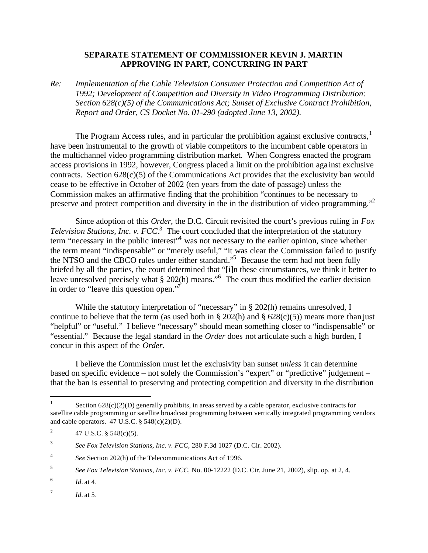## **SEPARATE STATEMENT OF COMMISSIONER KEVIN J. MARTIN APPROVING IN PART, CONCURRING IN PART**

*Re: Implementation of the Cable Television Consumer Protection and Competition Act of 1992; Development of Competition and Diversity in Video Programming Distribution: Section 628(c)(5) of the Communications Act; Sunset of Exclusive Contract Prohibition, Report and Order, CS Docket No. 01-290 (adopted June 13, 2002).*

The Program Access rules, and in particular the prohibition against exclusive contracts, $\frac{1}{1}$ have been instrumental to the growth of viable competitors to the incumbent cable operators in the multichannel video programming distribution market. When Congress enacted the program access provisions in 1992, however, Congress placed a limit on the prohibition aga inst exclusive contracts. Section  $628(c)(5)$  of the Communications Act provides that the exclusivity ban would cease to be effective in October of 2002 (ten years from the date of passage) unless the Commission makes an affirmative finding that the prohibition "continues to be necessary to preserve and protect competition and diversity in the in the distribution of video programming."<sup>2</sup>

Since adoption of this *Order*, the D.C. Circuit revisited the court's previous ruling in *Fox Television Stations, Inc. v.*  $FCC^3$  The court concluded that the interpretation of the statutory term "necessary in the public interest"<sup>4</sup> was not necessary to the earlier opinion, since whether the term meant "indispensable" or "merely useful," "it was clear the Commission failed to justify the NTSO and the CBCO rules under either standard."<sup>5</sup> Because the term had not been fully briefed by all the parties, the court determined that "[i]n these circumstances, we think it better to leave unresolved precisely what § 202(h) means."<sup>6</sup> The court thus modified the earlier decision in order to "leave this question open."<sup>7</sup>

While the statutory interpretation of "necessary" in § 202(h) remains unresolved, I continue to believe that the term (as used both in  $\S 202(h)$  and  $\S 628(c)(5)$ ) means more than just "helpful" or "useful." I believe "necessary" should mean something closer to "indispensable" or "essential." Because the legal standard in the *Order* does not articulate such a high burden, I concur in this aspect of the *Order*.

I believe the Commission must let the exclusivity ban sunset *unless* it can determine based on specific evidence – not solely the Commission's "expert" or "predictive" judgement – that the ban is essential to preserving and protecting competition and diversity in the distribution

 $\frac{1}{1}$ Section  $628(c)(2)(D)$  generally prohibits, in areas served by a cable operator, exclusive contracts for satellite cable programming or satellite broadcast programming between vertically integrated programming vendors and cable operators. 47 U.S.C. § 548(c)(2)(D).

<sup>2</sup> 47 U.S.C. § 548(c)(5).

<sup>3</sup> *See Fox Television Stations, Inc. v. FCC*, 280 F.3d 1027 (D.C. Cir. 2002).

<sup>4</sup> *See* Section 202(h) of the Telecommunications Act of 1996.

<sup>5</sup> *See Fox Television Stations, Inc. v. FCC*, No. 00-12222 (D.C. Cir. June 21, 2002), slip. op. at 2, 4.

<sup>6</sup> *Id.* at 4.

<sup>7</sup> *Id.* at 5.